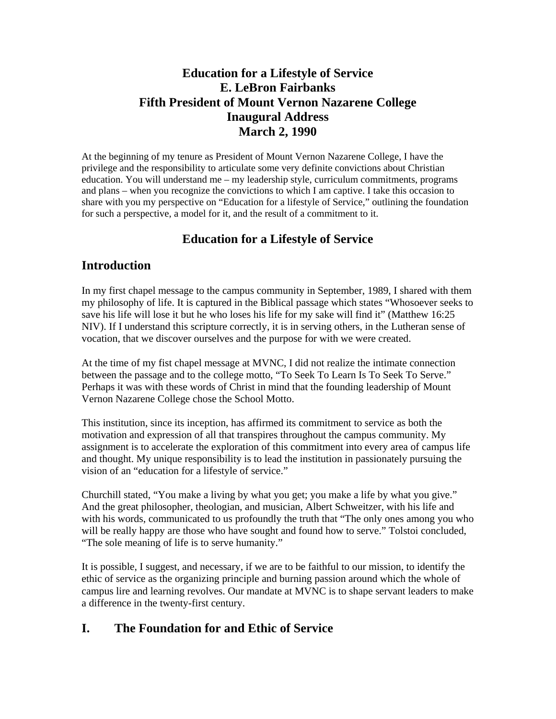### **Education for a Lifestyle of Service E. LeBron Fairbanks Fifth President of Mount Vernon Nazarene College Inaugural Address March 2, 1990**

At the beginning of my tenure as President of Mount Vernon Nazarene College, I have the privilege and the responsibility to articulate some very definite convictions about Christian education. You will understand me – my leadership style, curriculum commitments, programs and plans – when you recognize the convictions to which I am captive. I take this occasion to share with you my perspective on "Education for a lifestyle of Service," outlining the foundation for such a perspective, a model for it, and the result of a commitment to it.

# **Education for a Lifestyle of Service**

#### **Introduction**

In my first chapel message to the campus community in September, 1989, I shared with them my philosophy of life. It is captured in the Biblical passage which states "Whosoever seeks to save his life will lose it but he who loses his life for my sake will find it" (Matthew 16:25 NIV). If I understand this scripture correctly, it is in serving others, in the Lutheran sense of vocation, that we discover ourselves and the purpose for with we were created.

At the time of my fist chapel message at MVNC, I did not realize the intimate connection between the passage and to the college motto, "To Seek To Learn Is To Seek To Serve." Perhaps it was with these words of Christ in mind that the founding leadership of Mount Vernon Nazarene College chose the School Motto.

This institution, since its inception, has affirmed its commitment to service as both the motivation and expression of all that transpires throughout the campus community. My assignment is to accelerate the exploration of this commitment into every area of campus life and thought. My unique responsibility is to lead the institution in passionately pursuing the vision of an "education for a lifestyle of service."

Churchill stated, "You make a living by what you get; you make a life by what you give." And the great philosopher, theologian, and musician, Albert Schweitzer, with his life and with his words, communicated to us profoundly the truth that "The only ones among you who will be really happy are those who have sought and found how to serve." Tolstoi concluded, "The sole meaning of life is to serve humanity."

It is possible, I suggest, and necessary, if we are to be faithful to our mission, to identify the ethic of service as the organizing principle and burning passion around which the whole of campus lire and learning revolves. Our mandate at MVNC is to shape servant leaders to make a difference in the twenty-first century.

# **I. The Foundation for and Ethic of Service**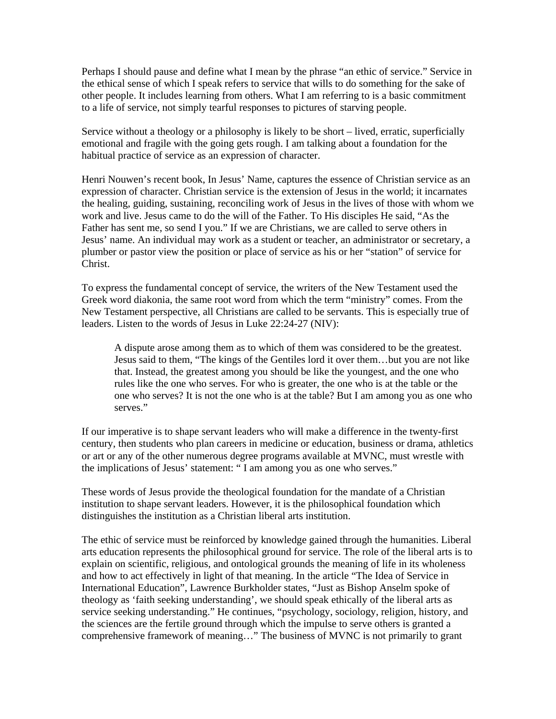Perhaps I should pause and define what I mean by the phrase "an ethic of service." Service in the ethical sense of which I speak refers to service that wills to do something for the sake of other people. It includes learning from others. What I am referring to is a basic commitment to a life of service, not simply tearful responses to pictures of starving people.

Service without a theology or a philosophy is likely to be short – lived, erratic, superficially emotional and fragile with the going gets rough. I am talking about a foundation for the habitual practice of service as an expression of character.

Henri Nouwen's recent book, In Jesus' Name, captures the essence of Christian service as an expression of character. Christian service is the extension of Jesus in the world; it incarnates the healing, guiding, sustaining, reconciling work of Jesus in the lives of those with whom we work and live. Jesus came to do the will of the Father. To His disciples He said, "As the Father has sent me, so send I you." If we are Christians, we are called to serve others in Jesus' name. An individual may work as a student or teacher, an administrator or secretary, a plumber or pastor view the position or place of service as his or her "station" of service for Christ.

To express the fundamental concept of service, the writers of the New Testament used the Greek word diakonia, the same root word from which the term "ministry" comes. From the New Testament perspective, all Christians are called to be servants. This is especially true of leaders. Listen to the words of Jesus in Luke 22:24-27 (NIV):

A dispute arose among them as to which of them was considered to be the greatest. Jesus said to them, "The kings of the Gentiles lord it over them…but you are not like that. Instead, the greatest among you should be like the youngest, and the one who rules like the one who serves. For who is greater, the one who is at the table or the one who serves? It is not the one who is at the table? But I am among you as one who serves."

If our imperative is to shape servant leaders who will make a difference in the twenty-first century, then students who plan careers in medicine or education, business or drama, athletics or art or any of the other numerous degree programs available at MVNC, must wrestle with the implications of Jesus' statement: " I am among you as one who serves."

These words of Jesus provide the theological foundation for the mandate of a Christian institution to shape servant leaders. However, it is the philosophical foundation which distinguishes the institution as a Christian liberal arts institution.

The ethic of service must be reinforced by knowledge gained through the humanities. Liberal arts education represents the philosophical ground for service. The role of the liberal arts is to explain on scientific, religious, and ontological grounds the meaning of life in its wholeness and how to act effectively in light of that meaning. In the article "The Idea of Service in International Education", Lawrence Burkholder states, "Just as Bishop Anselm spoke of theology as 'faith seeking understanding', we should speak ethically of the liberal arts as service seeking understanding." He continues, "psychology, sociology, religion, history, and the sciences are the fertile ground through which the impulse to serve others is granted a comprehensive framework of meaning…" The business of MVNC is not primarily to grant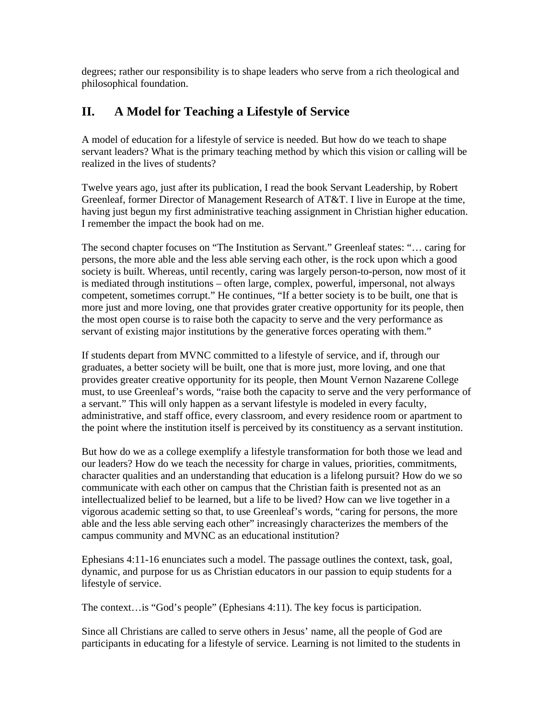degrees; rather our responsibility is to shape leaders who serve from a rich theological and philosophical foundation.

# **II. A Model for Teaching a Lifestyle of Service**

A model of education for a lifestyle of service is needed. But how do we teach to shape servant leaders? What is the primary teaching method by which this vision or calling will be realized in the lives of students?

Twelve years ago, just after its publication, I read the book Servant Leadership, by Robert Greenleaf, former Director of Management Research of AT&T. I live in Europe at the time, having just begun my first administrative teaching assignment in Christian higher education. I remember the impact the book had on me.

The second chapter focuses on "The Institution as Servant." Greenleaf states: "… caring for persons, the more able and the less able serving each other, is the rock upon which a good society is built. Whereas, until recently, caring was largely person-to-person, now most of it is mediated through institutions – often large, complex, powerful, impersonal, not always competent, sometimes corrupt." He continues, "If a better society is to be built, one that is more just and more loving, one that provides grater creative opportunity for its people, then the most open course is to raise both the capacity to serve and the very performance as servant of existing major institutions by the generative forces operating with them."

If students depart from MVNC committed to a lifestyle of service, and if, through our graduates, a better society will be built, one that is more just, more loving, and one that provides greater creative opportunity for its people, then Mount Vernon Nazarene College must, to use Greenleaf's words, "raise both the capacity to serve and the very performance of a servant." This will only happen as a servant lifestyle is modeled in every faculty, administrative, and staff office, every classroom, and every residence room or apartment to the point where the institution itself is perceived by its constituency as a servant institution.

But how do we as a college exemplify a lifestyle transformation for both those we lead and our leaders? How do we teach the necessity for charge in values, priorities, commitments, character qualities and an understanding that education is a lifelong pursuit? How do we so communicate with each other on campus that the Christian faith is presented not as an intellectualized belief to be learned, but a life to be lived? How can we live together in a vigorous academic setting so that, to use Greenleaf's words, "caring for persons, the more able and the less able serving each other" increasingly characterizes the members of the campus community and MVNC as an educational institution?

Ephesians 4:11-16 enunciates such a model. The passage outlines the context, task, goal, dynamic, and purpose for us as Christian educators in our passion to equip students for a lifestyle of service.

The context…is "God's people" (Ephesians 4:11). The key focus is participation.

Since all Christians are called to serve others in Jesus' name, all the people of God are participants in educating for a lifestyle of service. Learning is not limited to the students in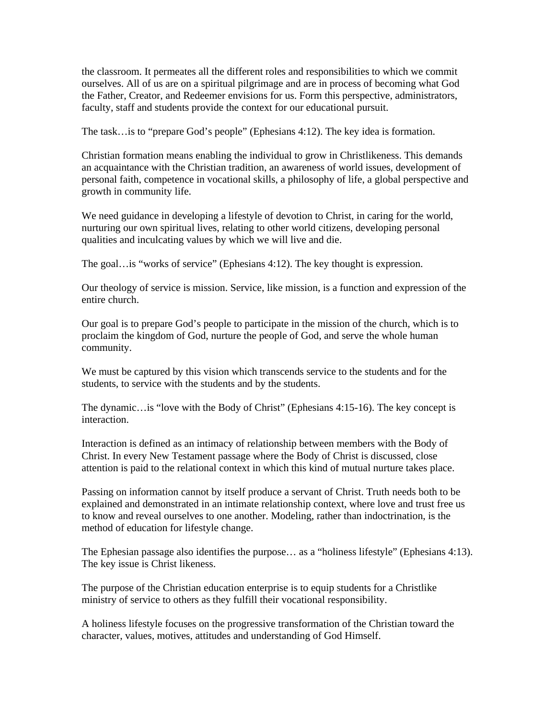the classroom. It permeates all the different roles and responsibilities to which we commit ourselves. All of us are on a spiritual pilgrimage and are in process of becoming what God the Father, Creator, and Redeemer envisions for us. Form this perspective, administrators, faculty, staff and students provide the context for our educational pursuit.

The task…is to "prepare God's people" (Ephesians 4:12). The key idea is formation.

Christian formation means enabling the individual to grow in Christlikeness. This demands an acquaintance with the Christian tradition, an awareness of world issues, development of personal faith, competence in vocational skills, a philosophy of life, a global perspective and growth in community life.

We need guidance in developing a lifestyle of devotion to Christ, in caring for the world, nurturing our own spiritual lives, relating to other world citizens, developing personal qualities and inculcating values by which we will live and die.

The goal…is "works of service" (Ephesians 4:12). The key thought is expression.

Our theology of service is mission. Service, like mission, is a function and expression of the entire church.

Our goal is to prepare God's people to participate in the mission of the church, which is to proclaim the kingdom of God, nurture the people of God, and serve the whole human community.

We must be captured by this vision which transcends service to the students and for the students, to service with the students and by the students.

The dynamic…is "love with the Body of Christ" (Ephesians 4:15-16). The key concept is interaction.

Interaction is defined as an intimacy of relationship between members with the Body of Christ. In every New Testament passage where the Body of Christ is discussed, close attention is paid to the relational context in which this kind of mutual nurture takes place.

Passing on information cannot by itself produce a servant of Christ. Truth needs both to be explained and demonstrated in an intimate relationship context, where love and trust free us to know and reveal ourselves to one another. Modeling, rather than indoctrination, is the method of education for lifestyle change.

The Ephesian passage also identifies the purpose… as a "holiness lifestyle" (Ephesians 4:13). The key issue is Christ likeness.

The purpose of the Christian education enterprise is to equip students for a Christlike ministry of service to others as they fulfill their vocational responsibility.

A holiness lifestyle focuses on the progressive transformation of the Christian toward the character, values, motives, attitudes and understanding of God Himself.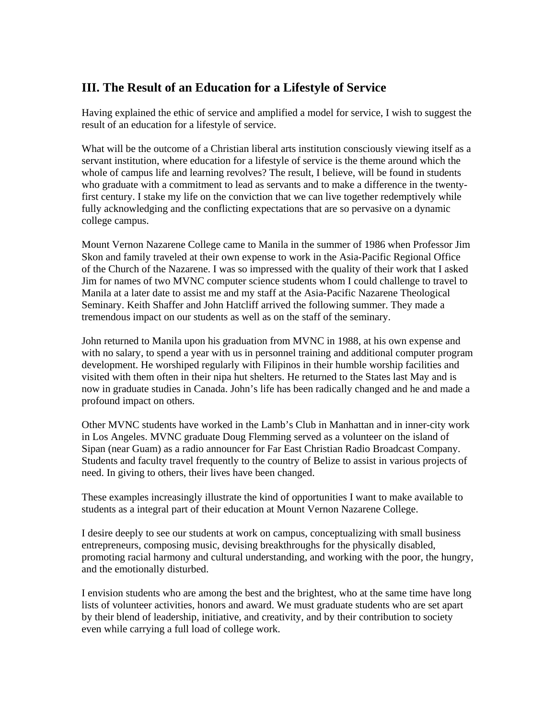### **III. The Result of an Education for a Lifestyle of Service**

Having explained the ethic of service and amplified a model for service, I wish to suggest the result of an education for a lifestyle of service.

What will be the outcome of a Christian liberal arts institution consciously viewing itself as a servant institution, where education for a lifestyle of service is the theme around which the whole of campus life and learning revolves? The result, I believe, will be found in students who graduate with a commitment to lead as servants and to make a difference in the twentyfirst century. I stake my life on the conviction that we can live together redemptively while fully acknowledging and the conflicting expectations that are so pervasive on a dynamic college campus.

Mount Vernon Nazarene College came to Manila in the summer of 1986 when Professor Jim Skon and family traveled at their own expense to work in the Asia-Pacific Regional Office of the Church of the Nazarene. I was so impressed with the quality of their work that I asked Jim for names of two MVNC computer science students whom I could challenge to travel to Manila at a later date to assist me and my staff at the Asia-Pacific Nazarene Theological Seminary. Keith Shaffer and John Hatcliff arrived the following summer. They made a tremendous impact on our students as well as on the staff of the seminary.

John returned to Manila upon his graduation from MVNC in 1988, at his own expense and with no salary, to spend a year with us in personnel training and additional computer program development. He worshiped regularly with Filipinos in their humble worship facilities and visited with them often in their nipa hut shelters. He returned to the States last May and is now in graduate studies in Canada. John's life has been radically changed and he and made a profound impact on others.

Other MVNC students have worked in the Lamb's Club in Manhattan and in inner-city work in Los Angeles. MVNC graduate Doug Flemming served as a volunteer on the island of Sipan (near Guam) as a radio announcer for Far East Christian Radio Broadcast Company. Students and faculty travel frequently to the country of Belize to assist in various projects of need. In giving to others, their lives have been changed.

These examples increasingly illustrate the kind of opportunities I want to make available to students as a integral part of their education at Mount Vernon Nazarene College.

I desire deeply to see our students at work on campus, conceptualizing with small business entrepreneurs, composing music, devising breakthroughs for the physically disabled, promoting racial harmony and cultural understanding, and working with the poor, the hungry, and the emotionally disturbed.

I envision students who are among the best and the brightest, who at the same time have long lists of volunteer activities, honors and award. We must graduate students who are set apart by their blend of leadership, initiative, and creativity, and by their contribution to society even while carrying a full load of college work.